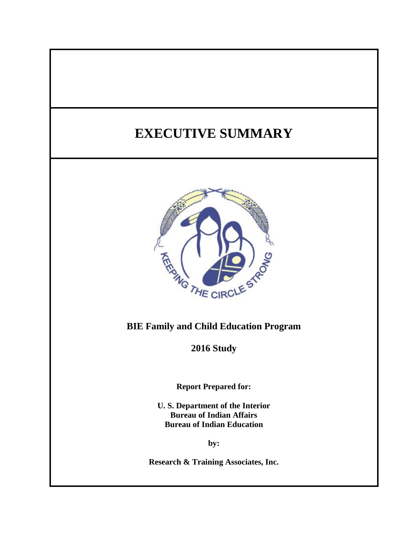# **EXECUTIVE SUMMARY**



## **BIE Family and Child Education Program**

**2016 Study**

**Report Prepared for:**

**U. S. Department of the Interior Bureau of Indian Affairs Bureau of Indian Education**

**by:**

**Research & Training Associates, Inc.**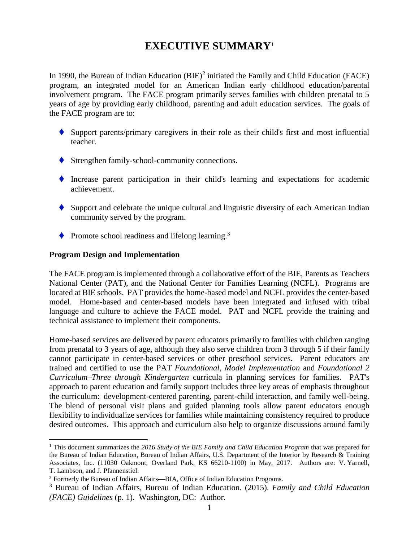## **EXECUTIVE SUMMARY**<sup>1</sup>

In 1990, the Bureau of Indian Education  $(BIE)^2$  initiated the Family and Child Education (FACE) program, an integrated model for an American Indian early childhood education/parental involvement program. The FACE program primarily serves families with children prenatal to 5 years of age by providing early childhood, parenting and adult education services. The goals of the FACE program are to:

- Support parents/primary caregivers in their role as their child's first and most influential teacher.
- Strengthen family-school-community connections.
- Increase parent participation in their child's learning and expectations for academic achievement.
- $\blacklozenge$  Support and celebrate the unique cultural and linguistic diversity of each American Indian community served by the program.
- Promote school readiness and lifelong learning.<sup>3</sup>

#### **Program Design and Implementation**

 $\overline{a}$ 

The FACE program is implemented through a collaborative effort of the BIE, Parents as Teachers National Center (PAT), and the National Center for Families Learning (NCFL). Programs are located at BIE schools. PAT provides the home-based model and NCFL provides the center-based model. Home-based and center-based models have been integrated and infused with tribal language and culture to achieve the FACE model. PAT and NCFL provide the training and technical assistance to implement their components.

Home-based services are delivered by parent educators primarily to families with children ranging from prenatal to 3 years of age, although they also serve children from 3 through 5 if their family cannot participate in center-based services or other preschool services. Parent educators are trained and certified to use the PAT *Foundational, Model Implementation* and *Foundational 2 Curriculum–Three through Kindergarten* curricula in planning services for families. PAT's approach to parent education and family support includes three key areas of emphasis throughout the curriculum: development-centered parenting, parent-child interaction, and family well-being. The blend of personal visit plans and guided planning tools allow parent educators enough flexibility to individualize services for families while maintaining consistency required to produce desired outcomes. This approach and curriculum also help to organize discussions around family

<sup>1</sup> This document summarizes the *2016 Study of the BIE Family and Child Education Program* that was prepared for the Bureau of Indian Education, Bureau of Indian Affairs, U.S. Department of the Interior by Research & Training Associates, Inc. (11030 Oakmont, Overland Park, KS 66210-1100) in May, 2017. Authors are: V. Yarnell, T. Lambson, and J. Pfannenstiel.

<sup>&</sup>lt;sup>2</sup> Formerly the Bureau of Indian Affairs—BIA, Office of Indian Education Programs.

<sup>3</sup> Bureau of Indian Affairs, Bureau of Indian Education. (2015). *Family and Child Education (FACE) Guidelines* (p. 1). Washington, DC: Author.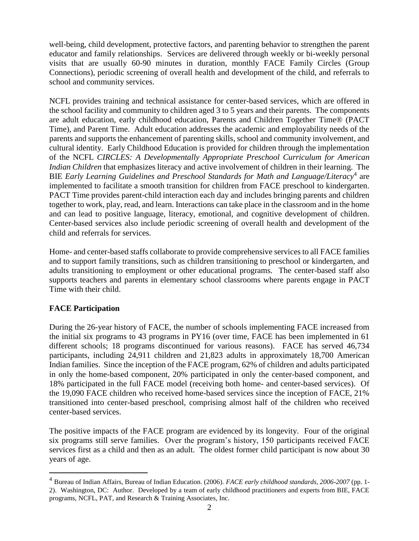well-being, child development, protective factors, and parenting behavior to strengthen the parent educator and family relationships. Services are delivered through weekly or bi-weekly personal visits that are usually 60-90 minutes in duration, monthly FACE Family Circles (Group Connections), periodic screening of overall health and development of the child, and referrals to school and community services.

NCFL provides training and technical assistance for center-based services, which are offered in the school facility and community to children aged 3 to 5 years and their parents. The components are adult education, early childhood education, Parents and Children Together Time® (PACT Time), and Parent Time. Adult education addresses the academic and employability needs of the parents and supports the enhancement of parenting skills, school and community involvement, and cultural identity. Early Childhood Education is provided for children through the implementation of the NCFL *CIRCLES: A Developmentally Appropriate Preschool Curriculum for American Indian Children* that emphasizes literacy and active involvement of children in their learning. The BIE Early Learning Guidelines and Preschool Standards for Math and Language/Literacy<sup>4</sup> are implemented to facilitate a smooth transition for children from FACE preschool to kindergarten. PACT Time provides parent-child interaction each day and includes bringing parents and children together to work, play, read, and learn. Interactions can take place in the classroom and in the home and can lead to positive language, literacy, emotional, and cognitive development of children. Center-based services also include periodic screening of overall health and development of the child and referrals for services.

Home- and center-based staffs collaborate to provide comprehensive services to all FACE families and to support family transitions, such as children transitioning to preschool or kindergarten, and adults transitioning to employment or other educational programs. The center-based staff also supports teachers and parents in elementary school classrooms where parents engage in PACT Time with their child.

#### **FACE Participation**

 $\overline{a}$ 

During the 26-year history of FACE, the number of schools implementing FACE increased from the initial six programs to 43 programs in PY16 (over time, FACE has been implemented in 61 different schools; 18 programs discontinued for various reasons). FACE has served 46,734 participants, including 24,911 children and 21,823 adults in approximately 18,700 American Indian families. Since the inception of the FACE program, 62% of children and adults participated in only the home-based component, 20% participated in only the center-based component, and 18% participated in the full FACE model (receiving both home- and center-based services). Of the 19,090 FACE children who received home-based services since the inception of FACE, 21% transitioned into center-based preschool, comprising almost half of the children who received center-based services.

The positive impacts of the FACE program are evidenced by its longevity. Four of the original six programs still serve families. Over the program's history, 150 participants received FACE services first as a child and then as an adult. The oldest former child participant is now about 30 years of age.

<sup>4</sup> Bureau of Indian Affairs, Bureau of Indian Education. (2006). *FACE early childhood standards, 2006-2007* (pp. 1- 2). Washington, DC: Author. Developed by a team of early childhood practitioners and experts from BIE, FACE programs, NCFL, PAT, and Research & Training Associates, Inc.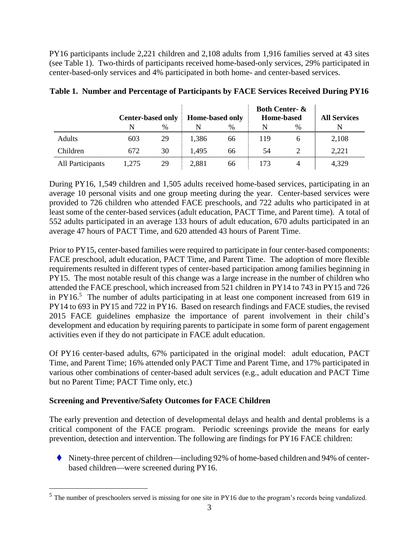PY16 participants include 2,221 children and 2,108 adults from 1,916 families served at 43 sites (see Table 1). Two-thirds of participants received home-based-only services, 29% participated in center-based-only services and 4% participated in both home- and center-based services.

|                  | <b>Center-based only</b> |      | <b>Home-based only</b> |      | <b>Both Center- &amp;</b><br><b>Home-based</b> |      | <b>All Services</b> |
|------------------|--------------------------|------|------------------------|------|------------------------------------------------|------|---------------------|
|                  |                          | $\%$ |                        | $\%$ |                                                | $\%$ |                     |
| Adults           | 603                      | 29   | 1,386                  | 66   | 119                                            |      | 2,108               |
| Children         | 672                      | 30   | 1.495                  | 66   | 54                                             |      | 2,221               |
| All Participants | 1,275                    | 29   | 2,881                  | 66   | 173                                            | 4    | 4,329               |

#### **Table 1. Number and Percentage of Participants by FACE Services Received During PY16**

During PY16, 1,549 children and 1,505 adults received home-based services, participating in an average 10 personal visits and one group meeting during the year. Center-based services were provided to 726 children who attended FACE preschools, and 722 adults who participated in at least some of the center-based services (adult education, PACT Time, and Parent time). A total of 552 adults participated in an average 133 hours of adult education, 670 adults participated in an average 47 hours of PACT Time, and 620 attended 43 hours of Parent Time.

Prior to PY15, center-based families were required to participate in four center-based components: FACE preschool, adult education, PACT Time, and Parent Time. The adoption of more flexible requirements resulted in different types of center-based participation among families beginning in PY15. The most notable result of this change was a large increase in the number of children who attended the FACE preschool, which increased from 521 children in PY14 to 743 in PY15 and 726 in PY16.<sup>5</sup> The number of adults participating in at least one component increased from 619 in PY14 to 693 in PY15 and 722 in PY16. Based on research findings and FACE studies, the revised 2015 FACE guidelines emphasize the importance of parent involvement in their child's development and education by requiring parents to participate in some form of parent engagement activities even if they do not participate in FACE adult education.

Of PY16 center-based adults, 67% participated in the original model: adult education, PACT Time, and Parent Time; 16% attended only PACT Time and Parent Time, and 17% participated in various other combinations of center-based adult services (e.g., adult education and PACT Time but no Parent Time; PACT Time only, etc.)

#### **Screening and Preventive/Safety Outcomes for FACE Children**

 $\overline{a}$ 

The early prevention and detection of developmental delays and health and dental problems is a critical component of the FACE program. Periodic screenings provide the means for early prevention, detection and intervention. The following are findings for PY16 FACE children:

 $\blacklozenge$  Ninety-three percent of children—including 92% of home-based children and 94% of centerbased children—were screened during PY16.

 $<sup>5</sup>$  The number of preschoolers served is missing for one site in PY16 due to the program's records being vandalized.</sup>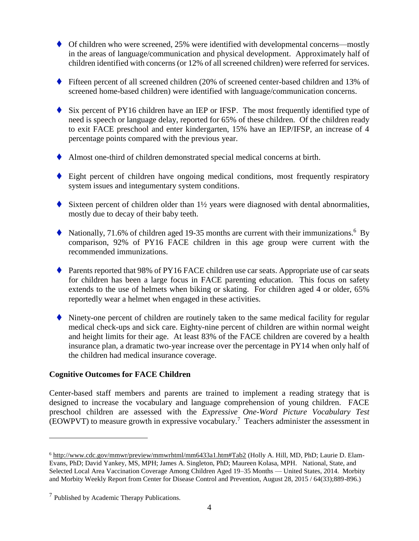- Of children who were screened, 25% were identified with developmental concerns—mostly in the areas of language/communication and physical development. Approximately half of children identified with concerns (or 12% of all screened children) were referred for services.
- Fifteen percent of all screened children (20% of screened center-based children and 13% of screened home-based children) were identified with language/communication concerns.
- Six percent of PY16 children have an IEP or IFSP. The most frequently identified type of need is speech or language delay, reported for 65% of these children. Of the children ready to exit FACE preschool and enter kindergarten, 15% have an IEP/IFSP, an increase of 4 percentage points compared with the previous year.
- Almost one-third of children demonstrated special medical concerns at birth.
- Eight percent of children have ongoing medical conditions, most frequently respiratory system issues and integumentary system conditions.
- Sixteen percent of children older than  $1\frac{1}{2}$  years were diagnosed with dental abnormalities, mostly due to decay of their baby teeth.
- $\blacklozenge$  Nationally, 71.6% of children aged 19-35 months are current with their immunizations.<sup>6</sup> By comparison, 92% of PY16 FACE children in this age group were current with the recommended immunizations.
- ◆ Parents reported that 98% of PY16 FACE children use car seats. Appropriate use of car seats for children has been a large focus in FACE parenting education. This focus on safety extends to the use of helmets when biking or skating. For children aged 4 or older, 65% reportedly wear a helmet when engaged in these activities.
- Ninety-one percent of children are routinely taken to the same medical facility for regular medical check-ups and sick care. Eighty-nine percent of children are within normal weight and height limits for their age. At least 83% of the FACE children are covered by a health insurance plan, a dramatic two-year increase over the percentage in PY14 when only half of the children had medical insurance coverage.

#### **Cognitive Outcomes for FACE Children**

Center-based staff members and parents are trained to implement a reading strategy that is designed to increase the vocabulary and language comprehension of young children. FACE preschool children are assessed with the *Expressive One-Word Picture Vocabulary Test* (EOWPVT) to measure growth in expressive vocabulary.<sup>7</sup> Teachers administer the assessment in

 $\overline{a}$ 

<sup>6</sup> [http://www.cdc.gov/mmwr/preview/mmwrhtml/mm6433a1.htm#Tab2](http://www.cdc.gov/mmwr/preview/mmwrhtml/mm6433a1.htm%23Tab2) (Holly A. Hill, MD, PhD; Laurie D. Elam-Evans, PhD; David Yankey, MS, MPH; James A. Singleton, PhD; Maureen Kolasa, MPH. National, State, and Selected Local Area Vaccination Coverage Among Children Aged 19–35 Months — United States, 2014. Morbity and Morbity Weekly Report from Center for Disease Control and Prevention, August 28, 2015 / 64(33);889-896.)

 $<sup>7</sup>$  Published by Academic Therapy Publications.</sup>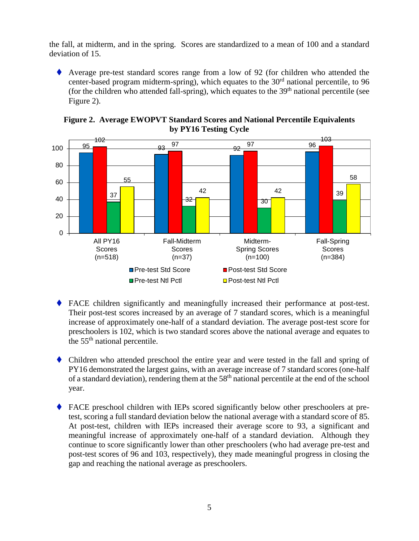the fall, at midterm, and in the spring. Scores are standardized to a mean of 100 and a standard deviation of 15.

 Average pre-test standard scores range from a low of 92 (for children who attended the center-based program midterm-spring), which equates to the  $30<sup>rd</sup>$  national percentile, to 96 (for the children who attended fall-spring), which equates to the 39<sup>th</sup> national percentile (see Figure 2).



**Figure 2. Average EWOPVT Standard Scores and National Percentile Equivalents by PY16 Testing Cycle**

- FACE children significantly and meaningfully increased their performance at post-test. Their post-test scores increased by an average of 7 standard scores, which is a meaningful increase of approximately one-half of a standard deviation. The average post-test score for preschoolers is 102, which is two standard scores above the national average and equates to the 55th national percentile.
- Children who attended preschool the entire year and were tested in the fall and spring of PY16 demonstrated the largest gains, with an average increase of 7 standard scores (one-half of a standard deviation), rendering them at the 58th national percentile at the end of the school year.
- FACE preschool children with IEPs scored significantly below other preschoolers at pretest, scoring a full standard deviation below the national average with a standard score of 85. At post-test, children with IEPs increased their average score to 93, a significant and meaningful increase of approximately one-half of a standard deviation. Although they continue to score significantly lower than other preschoolers (who had average pre-test and post-test scores of 96 and 103, respectively), they made meaningful progress in closing the gap and reaching the national average as preschoolers.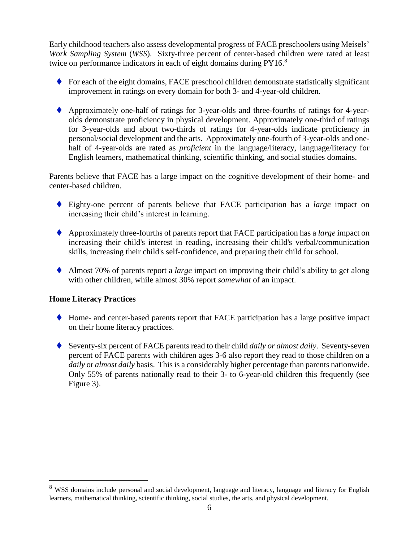Early childhood teachers also assess developmental progress of FACE preschoolers using Meisels' *Work Sampling System* (*WSS*). Sixty-three percent of center-based children were rated at least twice on performance indicators in each of eight domains during PY16.<sup>8</sup>

- $\blacklozenge$  For each of the eight domains, FACE preschool children demonstrate statistically significant improvement in ratings on every domain for both 3- and 4-year-old children.
- Approximately one-half of ratings for 3-year-olds and three-fourths of ratings for 4-yearolds demonstrate proficiency in physical development. Approximately one-third of ratings for 3-year-olds and about two-thirds of ratings for 4-year-olds indicate proficiency in personal/social development and the arts. Approximately one-fourth of 3-year-olds and onehalf of 4-year-olds are rated as *proficient* in the language/literacy, language/literacy for English learners, mathematical thinking, scientific thinking, and social studies domains.

Parents believe that FACE has a large impact on the cognitive development of their home- and center-based children.

- Eighty-one percent of parents believe that FACE participation has a *large* impact on increasing their child's interest in learning.
- Approximately three-fourths of parents report that FACE participation has a *large* impact on increasing their child's interest in reading, increasing their child's verbal/communication skills, increasing their child's self-confidence, and preparing their child for school.
- Almost 70% of parents report a *large* impact on improving their child's ability to get along with other children, while almost 30% report *somewhat* of an impact.

#### **Home Literacy Practices**

 $\overline{a}$ 

- Home- and center-based parents report that FACE participation has a large positive impact on their home literacy practices.
- Seventy-six percent of FACE parents read to their child *daily or almost daily*. Seventy-seven percent of FACE parents with children ages 3-6 also report they read to those children on a *daily* or *almost daily* basis. This is a considerably higher percentage than parents nationwide. Only 55% of parents nationally read to their 3- to 6-year-old children this frequently (see Figure 3).

<sup>&</sup>lt;sup>8</sup> WSS domains include personal and social development, language and literacy, language and literacy for English learners, mathematical thinking, scientific thinking, social studies, the arts, and physical development.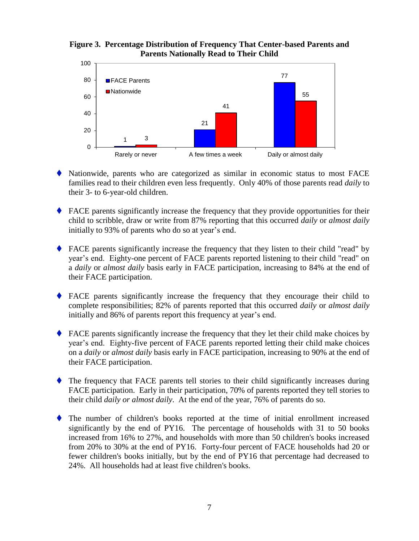#### **Figure 3. Percentage Distribution of Frequency That Center-based Parents and Parents Nationally Read to Their Child**



- Nationwide, parents who are categorized as similar in economic status to most FACE families read to their children even less frequently. Only 40% of those parents read *daily* to their 3- to 6-year-old children.
- FACE parents significantly increase the frequency that they provide opportunities for their child to scribble, draw or write from 87% reporting that this occurred *daily* or *almost daily* initially to 93% of parents who do so at year's end.
- FACE parents significantly increase the frequency that they listen to their child "read" by year's end. Eighty-one percent of FACE parents reported listening to their child "read" on a *daily* or *almost daily* basis early in FACE participation, increasing to 84% at the end of their FACE participation.
- FACE parents significantly increase the frequency that they encourage their child to complete responsibilities; 82% of parents reported that this occurred *daily* or *almost daily* initially and 86% of parents report this frequency at year's end.
- FACE parents significantly increase the frequency that they let their child make choices by year's end. Eighty-five percent of FACE parents reported letting their child make choices on a *daily* or *almost daily* basis early in FACE participation, increasing to 90% at the end of their FACE participation.
- The frequency that FACE parents tell stories to their child significantly increases during FACE participation. Early in their participation, 70% of parents reported they tell stories to their child *daily or almost daily*. At the end of the year, 76% of parents do so.
- The number of children's books reported at the time of initial enrollment increased significantly by the end of PY16. The percentage of households with 31 to 50 books increased from 16% to 27%, and households with more than 50 children's books increased from 20% to 30% at the end of PY16. Forty-four percent of FACE households had 20 or fewer children's books initially, but by the end of PY16 that percentage had decreased to 24%. All households had at least five children's books.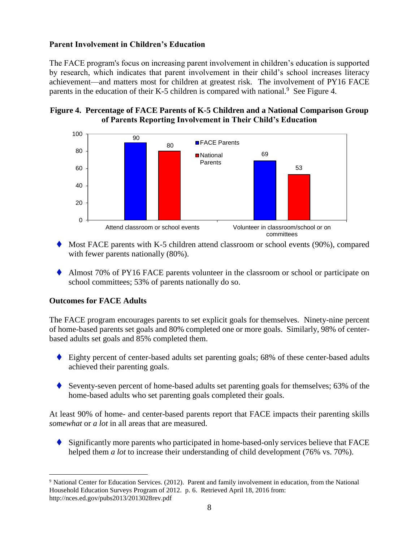#### **Parent Involvement in Children's Education**

The FACE program's focus on increasing parent involvement in children's education is supported by research, which indicates that parent involvement in their child's school increases literacy achievement—and matters most for children at greatest risk*.* The involvement of PY16 FACE parents in the education of their K-5 children is compared with national.<sup>9</sup> See Figure 4.

#### **Figure 4. Percentage of FACE Parents of K-5 Children and a National Comparison Group of Parents Reporting Involvement in Their Child's Education**



- $\blacklozenge$  Most FACE parents with K-5 children attend classroom or school events (90%), compared with fewer parents nationally  $(80\%)$ .
- Almost 70% of PY16 FACE parents volunteer in the classroom or school or participate on school committees; 53% of parents nationally do so.

#### **Outcomes for FACE Adults**

 $\overline{a}$ 

The FACE program encourages parents to set explicit goals for themselves. Ninety-nine percent of home-based parents set goals and 80% completed one or more goals. Similarly, 98% of centerbased adults set goals and 85% completed them.

- Eighty percent of center-based adults set parenting goals; 68% of these center-based adults achieved their parenting goals.
- Seventy-seven percent of home-based adults set parenting goals for themselves; 63% of the home-based adults who set parenting goals completed their goals.

At least 90% of home- and center-based parents report that FACE impacts their parenting skills *somewhat* or *a lot* in all areas that are measured.

 Significantly more parents who participated in home-based-only services believe that FACE helped them *a lot* to increase their understanding of child development (76% vs. 70%).

<sup>9</sup> National Center for Education Services. (2012). Parent and family involvement in education, from the National Household Education Surveys Program of 2012. p. 6. Retrieved April 18, 2016 from: http://nces.ed.gov/pubs2013/2013028rev.pdf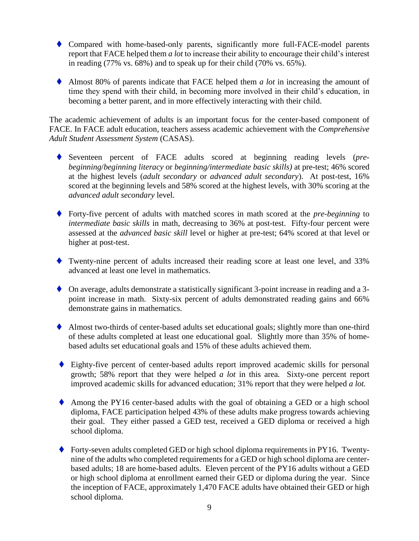- Compared with home-based-only parents, significantly more full-FACE-model parents report that FACE helped them *a lot* to increase their ability to encourage their child's interest in reading (77% vs. 68%) and to speak up for their child (70% vs. 65%).
- Almost 80% of parents indicate that FACE helped them *a lot* in increasing the amount of time they spend with their child, in becoming more involved in their child's education, in becoming a better parent, and in more effectively interacting with their child.

The academic achievement of adults is an important focus for the center-based component of FACE. In FACE adult education, teachers assess academic achievement with the *Comprehensive Adult Student Assessment System* (CASAS).

- Seventeen percent of FACE adults scored at beginning reading levels (*prebeginning*/*beginning literacy* or *beginning/intermediate basic skills)* at pre-test; 46% scored at the highest levels (*adult secondary* or *advanced adult secondary*). At post-test, 16% scored at the beginning levels and 58% scored at the highest levels, with 30% scoring at the *advanced adult secondary* level.
- Forty-five percent of adults with matched scores in math scored at the *pre-beginning* to *intermediate basic skills* in math, decreasing to 36% at post-test. Fifty-four percent were assessed at the *advanced basic skill* level or higher at pre-test; 64% scored at that level or higher at post-test.
- Twenty-nine percent of adults increased their reading score at least one level, and 33% advanced at least one level in mathematics.
- On average, adults demonstrate a statistically significant 3-point increase in reading and a 3 point increase in math. Sixty-six percent of adults demonstrated reading gains and 66% demonstrate gains in mathematics.
- Almost two-thirds of center-based adults set educational goals; slightly more than one-third of these adults completed at least one educational goal. Slightly more than 35% of homebased adults set educational goals and 15% of these adults achieved them.
- Eighty-five percent of center-based adults report improved academic skills for personal growth; 58% report that they were helped *a lot* in this area*.* Sixty-one percent report improved academic skills for advanced education; 31% report that they were helped *a lot.*
- Among the PY16 center-based adults with the goal of obtaining a GED or a high school diploma, FACE participation helped 43% of these adults make progress towards achieving their goal. They either passed a GED test, received a GED diploma or received a high school diploma.
- ◆ Forty-seven adults completed GED or high school diploma requirements in PY16. Twentynine of the adults who completed requirements for a GED or high school diploma are centerbased adults; 18 are home-based adults. Eleven percent of the PY16 adults without a GED or high school diploma at enrollment earned their GED or diploma during the year. Since the inception of FACE, approximately 1,470 FACE adults have obtained their GED or high school diploma.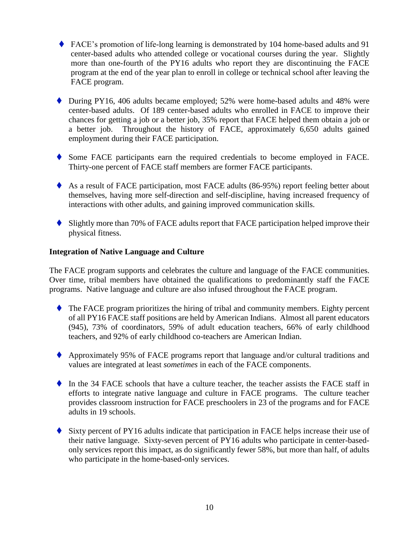- FACE's promotion of life-long learning is demonstrated by 104 home-based adults and 91 center-based adults who attended college or vocational courses during the year. Slightly more than one-fourth of the PY16 adults who report they are discontinuing the FACE program at the end of the year plan to enroll in college or technical school after leaving the FACE program.
- ◆ During PY16, 406 adults became employed; 52% were home-based adults and 48% were center-based adults. Of 189 center-based adults who enrolled in FACE to improve their chances for getting a job or a better job, 35% report that FACE helped them obtain a job or a better job. Throughout the history of FACE, approximately 6,650 adults gained employment during their FACE participation.
- Some FACE participants earn the required credentials to become employed in FACE. Thirty-one percent of FACE staff members are former FACE participants.
- As a result of FACE participation, most FACE adults (86-95%) report feeling better about themselves, having more self-direction and self-discipline, having increased frequency of interactions with other adults, and gaining improved communication skills.
- Slightly more than 70% of FACE adults report that FACE participation helped improve their physical fitness.

#### **Integration of Native Language and Culture**

The FACE program supports and celebrates the culture and language of the FACE communities. Over time, tribal members have obtained the qualifications to predominantly staff the FACE programs. Native language and culture are also infused throughout the FACE program.

- The FACE program prioritizes the hiring of tribal and community members. Eighty percent of all PY16 FACE staff positions are held by American Indians. Almost all parent educators (945), 73% of coordinators, 59% of adult education teachers, 66% of early childhood teachers, and 92% of early childhood co-teachers are American Indian.
- Approximately 95% of FACE programs report that language and/or cultural traditions and values are integrated at least *sometimes* in each of the FACE components.
- In the 34 FACE schools that have a culture teacher, the teacher assists the FACE staff in efforts to integrate native language and culture in FACE programs. The culture teacher provides classroom instruction for FACE preschoolers in 23 of the programs and for FACE adults in 19 schools.
- Sixty percent of PY16 adults indicate that participation in FACE helps increase their use of their native language. Sixty-seven percent of PY16 adults who participate in center-basedonly services report this impact, as do significantly fewer 58%, but more than half, of adults who participate in the home-based-only services.